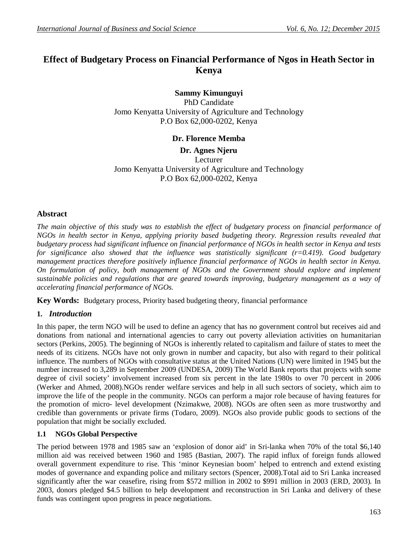# **Effect of Budgetary Process on Financial Performance of Ngos in Heath Sector in Kenya**

## **Sammy Kimunguyi**

PhD Candidate Jomo Kenyatta University of Agriculture and Technology P.O Box 62,000-0202, Kenya

## **Dr. Florence Memba**

**Dr. Agnes Njeru**

Lecturer Jomo Kenyatta University of Agriculture and Technology P.O Box 62,000-0202, Kenya

## **Abstract**

*The main objective of this study was to establish the effect of budgetary process on financial performance of NGOs in health sector in Kenya, applying priority based budgeting theory. Regression results revealed that budgetary process had significant influence on financial performance of NGOs in health sector in Kenya and tests for significance also showed that the influence was statistically significant (r=0.419). Good budgetary management practices therefore positively influence financial performance of NGOs in health sector in Kenya. On formulation of policy, both management of NGOs and the Government should explore and implement sustainable policies and regulations that are geared towards improving, budgetary management as a way of accelerating financial performance of NGOs.*

**Key Words:** Budgetary process, Priority based budgeting theory, financial performance

## **1.** *Introduction*

In this paper, the term NGO will be used to define an agency that has no government control but receives aid and donations from national and international agencies to carry out poverty alleviation activities on humanitarian sectors (Perkins, 2005). The beginning of NGOs is inherently related to capitalism and failure of states to meet the needs of its citizens. NGOs have not only grown in number and capacity, but also with regard to their political influence. The numbers of NGOs with consultative status at the United Nations (UN) were limited in 1945 but the number increased to 3,289 in September 2009 (UNDESA, 2009) The World Bank reports that projects with some degree of civil society' involvement increased from six percent in the late 1980s to over 70 percent in 2006 (Werker and Ahmed, 2008).NGOs render welfare services and help in all such sectors of society, which aim to improve the life of the people in the community. NGOs can perform a major role because of having features for the promotion of micro- level development (Nzimakwe, 2008). NGOs are often seen as more trustworthy and credible than governments or private firms (Todaro, 2009). NGOs also provide public goods to sections of the population that might be socially excluded.

## **1.1 NGOs Global Perspective**

The period between 1978 and 1985 saw an 'explosion of donor aid' in Sri-lanka when 70% of the total \$6,140 million aid was received between 1960 and 1985 (Bastian, 2007). The rapid influx of foreign funds allowed overall government expenditure to rise. This 'minor Keynesian boom' helped to entrench and extend existing modes of governance and expanding police and military sectors (Spencer, 2008).Total aid to Sri Lanka increased significantly after the war ceasefire, rising from \$572 million in 2002 to \$991 million in 2003 (ERD, 2003). In 2003, donors pledged \$4.5 billion to help development and reconstruction in Sri Lanka and delivery of these funds was contingent upon progress in peace negotiations.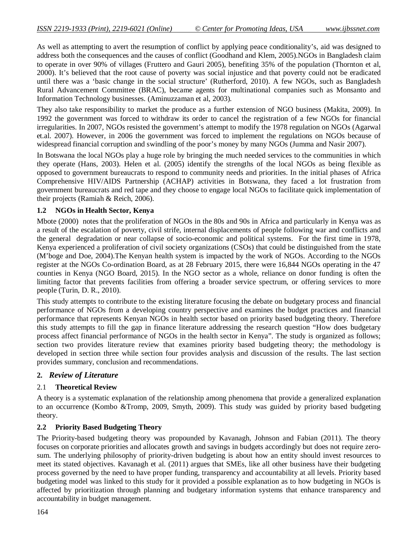As well as attempting to avert the resumption of conflict by applying peace conditionality's, aid was designed to address both the consequences and the causes of conflict (Goodhand and Klem, 2005).NGOs in Bangladesh claim to operate in over 90% of villages (Fruttero and Gauri 2005), benefiting 35% of the population (Thornton et al, 2000). It's believed that the root cause of poverty was social injustice and that poverty could not be eradicated until there was a 'basic change in the social structure' (Rutherford, 2010). A few NGOs, such as Bangladesh Rural Advancement Committee (BRAC), became agents for multinational companies such as Monsanto and Information Technology businesses. (Aminuzzaman et al, 2003).

They also take responsibility to market the produce as a further extension of NGO business (Makita, 2009). In 1992 the government was forced to withdraw its order to cancel the registration of a few NGOs for financial irregularities. In 2007, NGOs resisted the government's attempt to modify the 1978 regulation on NGOs (Agarwal et.al. 2007). However, in 2006 the government was forced to implement the regulations on NGOs because of widespread financial corruption and swindling of the poor's money by many NGOs (Jumma and Nasir 2007).

In Botswana the local NGOs play a huge role by bringing the much needed services to the communities in which they operate (Hans, 2003). Helen et al. (2005) identify the strengths of the local NGOs as being flexible as opposed to government bureaucrats to respond to community needs and priorities. In the initial phases of Africa Comprehensive HIV/AIDS Partnership (ACHAP) activities in Botswana, they faced a lot frustration from government bureaucrats and red tape and they choose to engage local NGOs to facilitate quick implementation of their projects (Ramiah & Reich, 2006).

#### **1.2 NGOs in Health Sector, Kenya**

Mbote (2000) notes that the proliferation of NGOs in the 80s and 90s in Africa and particularly in Kenya was as a result of the escalation of poverty, civil strife, internal displacements of people following war and conflicts and the general degradation or near collapse of socio-economic and political systems. For the first time in 1978, Kenya experienced a proliferation of civil society organizations (CSOs) that could be distinguished from the state (M'boge and Doe, 2004).The Kenyan health system is impacted by the work of NGOs. According to the NGOs register at the NGOs Co-ordination Board, as at 28 February 2015, there were 16,844 NGOs operating in the 47 counties in Kenya (NGO Board, 2015). In the NGO sector as a whole, reliance on donor funding is often the limiting factor that prevents facilities from offering a broader service spectrum, or offering services to more people (Turin, D. R., 2010).

This study attempts to contribute to the existing literature focusing the debate on budgetary process and financial performance of NGOs from a developing country perspective and examines the budget practices and financial performance that represents Kenyan NGOs in health sector based on priority based budgeting theory. Therefore this study attempts to fill the gap in finance literature addressing the research question "How does budgetary process affect financial performance of NGOs in the health sector in Kenya". The study is organized as follows; section two provides literature review that examines priority based budgeting theory; the methodology is developed in section three while section four provides analysis and discussion of the results. The last section provides summary, conclusion and recommendations.

## **2.** *Review of Literature*

#### 2.1 **Theoretical Review**

A theory is a systematic explanation of the relationship among phenomena that provide a generalized explanation to an occurrence (Kombo &Tromp, 2009, Smyth, 2009). This study was guided by priority based budgeting theory.

#### **2.2 Priority Based Budgeting Theory**

The Priority-based budgeting theory was propounded by Kavanagh, Johnson and Fabian (2011). The theory focuses on corporate priorities and allocates growth and savings in budgets accordingly but does not require zerosum. The underlying philosophy of priority-driven budgeting is about how an entity should invest resources to meet its stated objectives. Kavanagh et al. (2011) argues that SMEs, like all other business have their budgeting process governed by the need to have proper funding, transparency and accountability at all levels. Priority based budgeting model was linked to this study for it provided a possible explanation as to how budgeting in NGOs is affected by prioritization through planning and budgetary information systems that enhance transparency and accountability in budget management.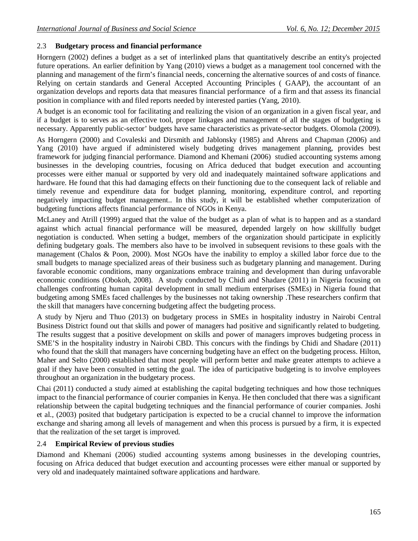## 2.3 **Budgetary process and financial performance**

Horngern (2002) defines a budget as a set of interlinked plans that quantitatively describe an entity's projected future operations. An earlier definition by Yang (2010) views a budget as a management tool concerned with the planning and management of the firm's financial needs, concerning the alternative sources of and costs of finance. Relying on certain standards and General Accepted Accounting Principles ( GAAP), the accountant of an organization develops and reports data that measures financial performance of a firm and that assess its financial position in compliance with and filed reports needed by interested parties (Yang, 2010).

A budget is an economic tool for facilitating and realizing the vision of an organization in a given fiscal year, and if a budget is to serves as an effective tool, proper linkages and management of all the stages of budgeting is necessary. Apparently public-sector' budgets have same characteristics as private-sector budgets. Olomola (2009).

As Horngern (2000) and Covaleski and Dirsmith and Jablonsky (1985) and Ahrens and Chapman (2006) and Yang (2010) have argued if administered wisely budgeting drives management planning, provides best framework for judging financial performance. Diamond and Khemani (2006) studied accounting systems among businesses in the developing countries, focusing on Africa deduced that budget execution and accounting processes were either manual or supported by very old and inadequately maintained software applications and hardware. He found that this had damaging effects on their functioning due to the consequent lack of reliable and timely revenue and expenditure data for budget planning, monitoring, expenditure control, and reporting negatively impacting budget management.. In this study, it will be established whether computerization of budgeting functions affects financial performance of NGOs in Kenya.

McLaney and Atrill (1999) argued that the value of the budget as a plan of what is to happen and as a standard against which actual financial performance will be measured, depended largely on how skillfully budget negotiation is conducted. When setting a budget, members of the organization should participate in explicitly defining budgetary goals. The members also have to be involved in subsequent revisions to these goals with the management (Chalos & Poon, 2000). Most NGOs have the inability to employ a skilled labor force due to the small budgets to manage specialized areas of their business such as budgetary planning and management. During favorable economic conditions, many organizations embrace training and development than during unfavorable economic conditions (Obokoh, 2008). A study conducted by Chidi and Shadare (2011) in Nigeria focusing on challenges confronting human capital development in small medium enterprises (SMEs) in Nigeria found that budgeting among SMEs faced challenges by the businesses not taking ownership .These researchers confirm that the skill that managers have concerning budgeting affect the budgeting process.

A study by Njeru and Thuo (2013) on budgetary process in SMEs in hospitality industry in Nairobi Central Business District found out that skills and power of managers had positive and significantly related to budgeting. The results suggest that a positive development on skills and power of managers improves budgeting process in SME'S in the hospitality industry in Nairobi CBD. This concurs with the findings by Chidi and Shadare (2011) who found that the skill that managers have concerning budgeting have an effect on the budgeting process. Hilton, Maher and Selto (2000) established that most people will perform better and make greater attempts to achieve a goal if they have been consulted in setting the goal. The idea of participative budgeting is to involve employees throughout an organization in the budgetary process.

Chai (2011) conducted a study aimed at establishing the capital budgeting techniques and how those techniques impact to the financial performance of courier companies in Kenya. He then concluded that there was a significant relationship between the capital budgeting techniques and the financial performance of courier companies. Joshi et al., (2003) posited that budgetary participation is expected to be a crucial channel to improve the information exchange and sharing among all levels of management and when this process is pursued by a firm, it is expected that the realization of the set target is improved.

## 2.4 **Empirical Review of previous studies**

Diamond and Khemani (2006) studied accounting systems among businesses in the developing countries, focusing on Africa deduced that budget execution and accounting processes were either manual or supported by very old and inadequately maintained software applications and hardware.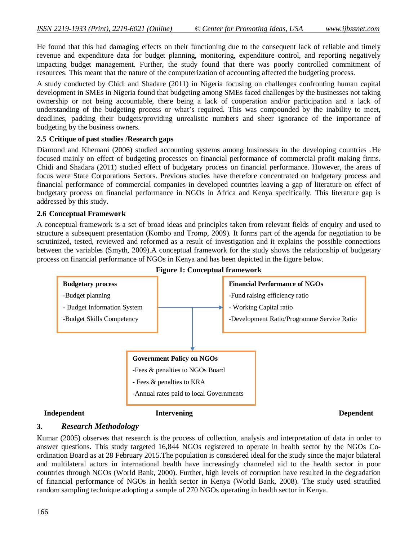He found that this had damaging effects on their functioning due to the consequent lack of reliable and timely revenue and expenditure data for budget planning, monitoring, expenditure control, and reporting negatively impacting budget management. Further, the study found that there was poorly controlled commitment of resources. This meant that the nature of the computerization of accounting affected the budgeting process.

A study conducted by Chidi and Shadare (2011) in Nigeria focusing on challenges confronting human capital development in SMEs in Nigeria found that budgeting among SMEs faced challenges by the businesses not taking ownership or not being accountable, there being a lack of cooperation and/or participation and a lack of understanding of the budgeting process or what's required. This was compounded by the inability to meet, deadlines, padding their budgets/providing unrealistic numbers and sheer ignorance of the importance of budgeting by the business owners.

### **2.5 Critique of past studies /Research gaps**

Diamond and Khemani (2006) studied accounting systems among businesses in the developing countries .He focused mainly on effect of budgeting processes on financial performance of commercial profit making firms. Chidi and Shadara (2011) studied effect of budgetary process on financial performance. However, the areas of focus were State Corporations Sectors. Previous studies have therefore concentrated on budgetary process and financial performance of commercial companies in developed countries leaving a gap of literature on effect of budgetary process on financial performance in NGOs in Africa and Kenya specifically. This literature gap is addressed by this study.

#### **2.6 Conceptual Framework**

A conceptual framework is a set of broad ideas and principles taken from relevant fields of enquiry and used to structure a subsequent presentation (Kombo and Tromp, 2009). It forms part of the agenda for negotiation to be scrutinized, tested, reviewed and reformed as a result of investigation and it explains the possible connections between the variables (Smyth, 2009).A conceptual framework for the study shows the relationship of budgetary process on financial performance of NGOs in Kenya and has been depicted in the figure below.





## **Independent 11.1 Intervening 1.1 Intervening 1.1 Intervening 1.1 Intervening 1.1 Intervening 1.1 Intervening 1.1 Intervening 1.1 Intervening 1.1 Intervening 1.1 Intervening 1.1 Intervening 1.1 Intervening 1.1 Intervening**

#### **3.** *Research Methodology*

Kumar (2005) observes that research is the process of collection, analysis and interpretation of data in order to answer questions. This study targeted 16,844 NGOs registered to operate in health sector by the NGOs Coordination Board as at 28 February 2015.The population is considered ideal for the study since the major bilateral and multilateral actors in international health have increasingly channeled aid to the health sector in poor countries through NGOs (World Bank, 2000). Further, high levels of corruption have resulted in the degradation of financial performance of NGOs in health sector in Kenya (World Bank, 2008). The study used stratified random sampling technique adopting a sample of 270 NGOs operating in health sector in Kenya.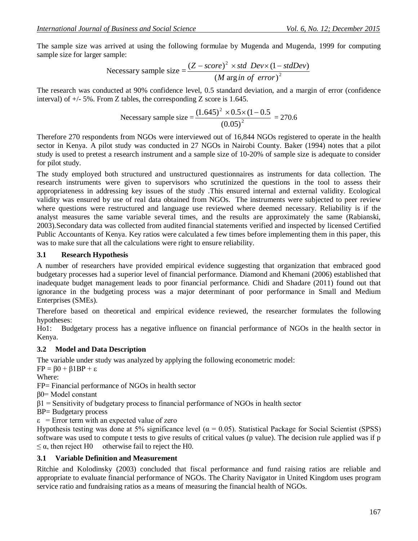The sample size was arrived at using the following formulae by Mugenda and Mugenda, 1999 for computing sample size for larger sample:

Necessary sample size = 
$$
\frac{(Z - score)^2 \times std \ Dev \times (1 - stdDev)}{(M \ arg in \ of \ error)^2}
$$

The research was conducted at 90% confidence level, 0.5 standard deviation, and a margin of error (confidence interval) of  $+/- 5\%$ . From Z tables, the corresponding Z score is 1.645.

Necessary sample size = 
$$
\frac{(1.645)^2 \times 0.5 \times (1 - 0.5)}{(0.05)^2} = 270.6
$$

Therefore 270 respondents from NGOs were interviewed out of 16,844 NGOs registered to operate in the health sector in Kenya. A pilot study was conducted in 27 NGOs in Nairobi County. Baker (1994) notes that a pilot study is used to pretest a research instrument and a sample size of 10-20% of sample size is adequate to consider for pilot study.

The study employed both structured and unstructured questionnaires as instruments for data collection. The research instruments were given to supervisors who scrutinized the questions in the tool to assess their appropriateness in addressing key issues of the study .This ensured internal and external validity. Ecological validity was ensured by use of real data obtained from NGOs. The instruments were subjected to peer review where questions were restructured and language use reviewed where deemed necessary. Reliability is if the analyst measures the same variable several times, and the results are approximately the same (Rabianski, 2003).Secondary data was collected from audited financial statements verified and inspected by licensed Certified Public Accountants of Kenya. Key ratios were calculated a few times before implementing them in this paper, this was to make sure that all the calculations were right to ensure reliability.

#### **3.1 Research Hypothesis**

A number of researchers have provided empirical evidence suggesting that organization that embraced good budgetary processes had a superior level of financial performance. Diamond and Khemani (2006) established that inadequate budget management leads to poor financial performance. Chidi and Shadare (2011) found out that ignorance in the budgeting process was a major determinant of poor performance in Small and Medium Enterprises (SMEs).

Therefore based on theoretical and empirical evidence reviewed, the researcher formulates the following hypotheses:

Ho1: Budgetary process has a negative influence on financial performance of NGOs in the health sector in Kenya.

## **3.2 Model and Data Description**

The variable under study was analyzed by applying the following econometric model:

 $FP = \beta 0 + \beta 1BP + \varepsilon$ 

Where:

FP= Financial performance of NGOs in health sector

β0= Model constant

β1 = Sensitivity of budgetary process to financial performance of NGOs in health sector

BP= Budgetary process

 $\epsilon$  = Error term with an expected value of zero

Hypothesis testing was done at 5% significance level ( $\alpha$  = 0.05). Statistical Package for Social Scientist (SPSS) software was used to compute t tests to give results of critical values (p value). The decision rule applied was if p  $\leq \alpha$ , then reject H0 otherwise fail to reject the H0.

## **3.1 Variable Definition and Measurement**

Ritchie and Kolodinsky (2003) concluded that fiscal performance and fund raising ratios are reliable and appropriate to evaluate financial performance of NGOs. The Charity Navigator in United Kingdom uses program service ratio and fundraising ratios as a means of measuring the financial health of NGOs.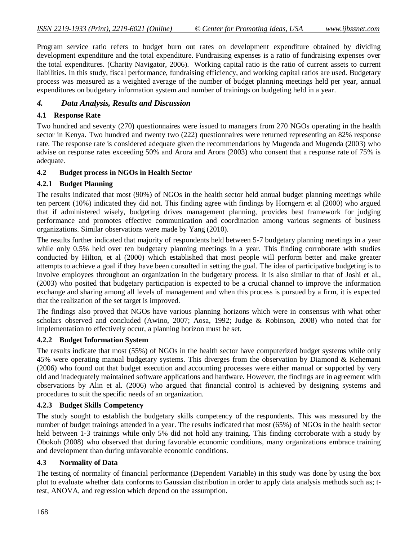Program service ratio refers to budget burn out rates on development expenditure obtained by dividing development expenditure and the total expenditure. Fundraising expenses is a ratio of fundraising expenses over the total expenditures. (Charity Navigator, 2006). Working capital ratio is the ratio of current assets to current liabilities. In this study, fiscal performance, fundraising efficiency, and working capital ratios are used. Budgetary process was measured as a weighted average of the number of budget planning meetings held per year, annual expenditures on budgetary information system and number of trainings on budgeting held in a year.

## *4. Data Analysis, Results and Discussion*

## **4.1 Response Rate**

Two hundred and seventy (270) questionnaires were issued to managers from 270 NGOs operating in the health sector in Kenya. Two hundred and twenty two (222) questionnaires were returned representing an 82% response rate. The response rate is considered adequate given the recommendations by Mugenda and Mugenda (2003) who advise on response rates exceeding 50% and Arora and Arora (2003) who consent that a response rate of 75% is adequate.

## **4.2 Budget process in NGOs in Health Sector**

## **4.2.1 Budget Planning**

The results indicated that most (90%) of NGOs in the health sector held annual budget planning meetings while ten percent (10%) indicated they did not. This finding agree with findings by Horngern et al (2000) who argued that if administered wisely, budgeting drives management planning, provides best framework for judging performance and promotes effective communication and coordination among various segments of business organizations. Similar observations were made by Yang (2010).

The results further indicated that majority of respondents held between 5-7 budgetary planning meetings in a year while only 0.5% held over ten budgetary planning meetings in a year. This finding corroborate with studies conducted by Hilton, et al (2000) which established that most people will perform better and make greater attempts to achieve a goal if they have been consulted in setting the goal. The idea of participative budgeting is to involve employees throughout an organization in the budgetary process. It is also similar to that of Joshi et al., (2003) who posited that budgetary participation is expected to be a crucial channel to improve the information exchange and sharing among all levels of management and when this process is pursued by a firm, it is expected that the realization of the set target is improved.

The findings also proved that NGOs have various planning horizons which were in consensus with what other scholars observed and concluded (Awino, 2007; Aosa, 1992; Judge & Robinson, 2008) who noted that for implementation to effectively occur, a planning horizon must be set.

## **4.2.2 Budget Information System**

The results indicate that most (55%) of NGOs in the health sector have computerized budget systems while only 45% were operating manual budgetary systems. This diverges from the observation by Diamond & Kehemani (2006) who found out that budget execution and accounting processes were either manual or supported by very old and inadequately maintained software applications and hardware. However, the findings are in agreement with observations by Alin et al. (2006) who argued that financial control is achieved by designing systems and procedures to suit the specific needs of an organization.

## **4.2.3 Budget Skills Competency**

The study sought to establish the budgetary skills competency of the respondents. This was measured by the number of budget trainings attended in a year. The results indicated that most (65%) of NGOs in the health sector held between 1-3 trainings while only 5% did not hold any training. This finding corroborate with a study by Obokoh (2008) who observed that during favorable economic conditions, many organizations embrace training and development than during unfavorable economic conditions.

## **4.3 Normality of Data**

The testing of normality of financial performance (Dependent Variable) in this study was done by using the box plot to evaluate whether data conforms to Gaussian distribution in order to apply data analysis methods such as; ttest, ANOVA, and regression which depend on the assumption.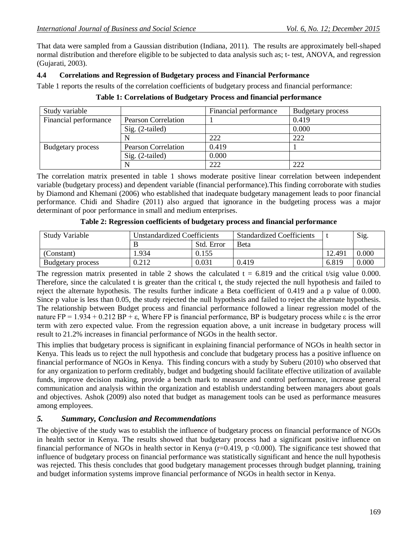That data were sampled from a Gaussian distribution (Indiana, 2011). The results are approximately bell-shaped normal distribution and therefore eligible to be subjected to data analysis such as; t- test, ANOVA, and regression (Gujarati, 2003).

## **4.4 Correlations and Regression of Budgetary process and Financial Performance**

Table 1 reports the results of the correlation coefficients of budgetary process and financial performance:

| Study variable           |                            | Financial performance | <b>Budgetary process</b> |
|--------------------------|----------------------------|-----------------------|--------------------------|
| Financial performance    | <b>Pearson Correlation</b> |                       | 0.419                    |
|                          | $Sig. (2-tailed)$          |                       | 0.000                    |
|                          |                            | 222                   | 222                      |
| <b>Budgetary process</b> | <b>Pearson Correlation</b> | 0.419                 |                          |
|                          | Sig. (2-tailed)            | 0.000                 |                          |
|                          |                            | 222                   | 222                      |

**Table 1: Correlations of Budgetary Process and financial performance**

The correlation matrix presented in table 1 shows moderate positive linear correlation between independent variable (budgetary process) and dependent variable (financial performance).This finding corroborate with studies by Diamond and Khemani (2006) who established that inadequate budgetary management leads to poor financial performance. Chidi and Shadire (2011) also argued that ignorance in the budgeting process was a major determinant of poor performance in small and medium enterprises.

| <b>Study Variable</b> |       | <b>Unstandardized Coefficients</b> | <b>Standardized Coefficients</b> |        | Sig.  |
|-----------------------|-------|------------------------------------|----------------------------------|--------|-------|
|                       |       | Std. Error                         | <b>Beta</b>                      |        |       |
| (Constant)            | .934  | 0.155                              |                                  | 12.491 | 0.000 |
| Budgetary process     | 0.212 | 0.031                              | 0.419                            | 6.819  | 0.000 |

**Table 2: Regression coefficients of budgetary process and financial performance**

The regression matrix presented in table 2 shows the calculated  $t = 6.819$  and the critical t/sig value 0.000. Therefore, since the calculated t is greater than the critical t, the study rejected the null hypothesis and failed to reject the alternate hypothesis. The results further indicate a Beta coefficient of 0.419 and a p value of 0.000. Since p value is less than 0.05, the study rejected the null hypothesis and failed to reject the alternate hypothesis. The relationship between Budget process and financial performance followed a linear regression model of the nature  $FP = 1.934 + 0.212 BP + ε$ . Where FP is financial performance, BP is budgetary process while ε is the error term with zero expected value. From the regression equation above, a unit increase in budgetary process will result to 21.2% increases in financial performance of NGOs in the health sector.

This implies that budgetary process is significant in explaining financial performance of NGOs in health sector in Kenya. This leads us to reject the null hypothesis and conclude that budgetary process has a positive influence on financial performance of NGOs in Kenya. This finding concurs with a study by Suberu (2010) who observed that for any organization to perform creditably, budget and budgeting should facilitate effective utilization of available funds, improve decision making, provide a bench mark to measure and control performance, increase general communication and analysis within the organization and establish understanding between managers about goals and objectives. Ashok (2009) also noted that budget as management tools can be used as performance measures among employees.

## *5. Summary, Conclusion and Recommendations*

The objective of the study was to establish the influence of budgetary process on financial performance of NGOs in health sector in Kenya. The results showed that budgetary process had a significant positive influence on financial performance of NGOs in health sector in Kenya ( $r=0.419$ ,  $p < 0.000$ ). The significance test showed that influence of budgetary process on financial performance was statistically significant and hence the null hypothesis was rejected. This thesis concludes that good budgetary management processes through budget planning, training and budget information systems improve financial performance of NGOs in health sector in Kenya.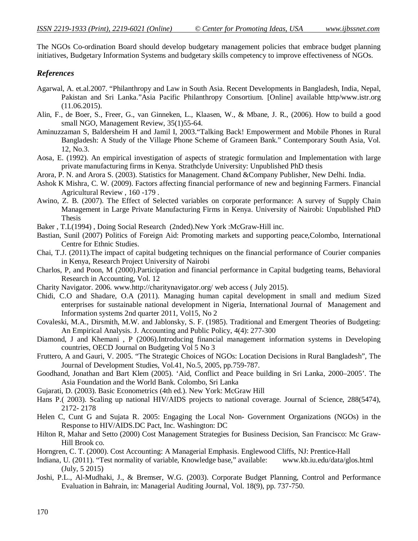The NGOs Co-ordination Board should develop budgetary management policies that embrace budget planning initiatives, Budgetary Information Systems and budgetary skills competency to improve effectiveness of NGOs.

#### *References*

- Agarwal, A. et.al.2007. "Philanthropy and Law in South Asia. Recent Developments in Bangladesh, India, Nepal, Pakistan and Sri Lanka."Asia Pacific Philanthropy Consortium. [Online] available http/www.istr.org (11.06.2015).
- Alin, F., de Boer, S., Freer, G., van Ginneken, L., Klaasen, W., & Mbane, J. R., (2006). How to build a good small NGO, Management Review, 35(1)55-64.
- Aminuzzaman S, Baldersheim H and Jamil I, 2003."Talking Back! Empowerment and Mobile Phones in Rural Bangladesh: A Study of the Village Phone Scheme of Grameen Bank." Contemporary South Asia, Vol. 12, No.3.
- Aosa, E. (1992). An empirical investigation of aspects of strategic formulation and Implementation with large private manufacturing firms in Kenya. Strathclyde University: Unpublished PhD thesis
- Arora, P. N. and Arora S. (2003). Statistics for Management. Chand &Company Publisher, New Delhi. India.
- Ashok K Mishra, C. W. (2009). Factors affecting financial performance of new and beginning Farmers. Financial Agricultural Review , 160 -179 .
- Awino, Z. B. (2007). The Effect of Selected variables on corporate performance: A survey of Supply Chain Management in Large Private Manufacturing Firms in Kenya. University of Nairobi: Unpublished PhD Thesis
- Baker , T.L(1994) , Doing Social Research (2nded).New York :McGraw-Hill inc.
- Bastian, Sunil (2007) Politics of Foreign Aid: Promoting markets and supporting peace,Colombo, International Centre for Ethnic Studies.
- Chai, T.J. (2011).The impact of capital budgeting techniques on the financial performance of Courier companies in Kenya, Research Project University of Nairobi
- Charlos, P, and Poon, M (2000).Participation and financial performance in Capital budgeting teams, Behavioral Research in Accounting, Vol. 12
- Charity Navigator. 2006. www.http://charitynavigator.org/ web access ( July 2015).
- Chidi, C.O and Shadare, O.A (2011). Managing human capital development in small and medium Sized enterprises for sustainable national development in Nigeria, International Journal of Management and Information systems 2nd quarter 2011, Vol15, No 2
- Covaleski, M.A., Dirsmith, M.W. and Jablonsky, S. F. (1985). Traditional and Emergent Theories of Budgeting: An Empirical Analysis. J. Accounting and Public Policy, 4(4): 277-300
- Diamond, J and Khemani , P (2006).Introducing financial management information systems in Developing countries, OECD Journal on Budgeting Vol 5 No 3
- Fruttero, A and Gauri, V. 2005. "The Strategic Choices of NGOs: Location Decisions in Rural Bangladesh", The Journal of Development Studies, Vol.41, No.5, 2005, pp.759-787.
- Goodhand, Jonathan and Bart Klem (2005). 'Aid, Conflict and Peace building in Sri Lanka, 2000–2005'. The Asia Foundation and the World Bank. Colombo, Sri Lanka
- Gujarati, D. (2003). Basic Econometrics (4th ed.). New York: McGraw Hill
- Hans P.( 2003). Scaling up national HIV/AIDS projects to national coverage. Journal of Science, 288(5474), 2172- 2178
- Helen C, Cunt G and Sujata R. 2005: Engaging the Local Non- Government Organizations (NGOs) in the Response to HIV/AIDS.DC Pact, Inc. Washington: DC
- Hilton R, Mahar and Setto (2000) Cost Management Strategies for Business Decision, San Francisco: Mc Graw-Hill Brook co.
- Horngren, C. T. (2000). Cost Accounting: A Managerial Emphasis. Englewood Cliffs, NJ: Prentice-Hall
- Indiana, U. (2011). "Test normality of variable, Knowledge base," available: www.kb.iu.edu/data/glos.html (July, 5 2015)
- Joshi, P.L., Al-Mudhaki, J., & Bremser, W.G. (2003). Corporate Budget Planning, Control and Performance Evaluation in Bahrain, in: Managerial Auditing Journal, Vol. 18(9), pp. 737-750.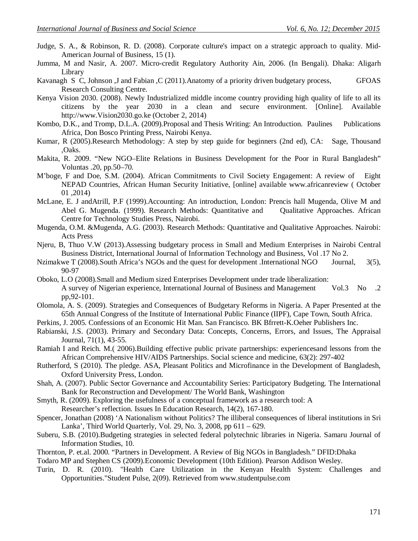- Judge, S. A., & Robinson, R. D. (2008). Corporate culture's impact on a strategic approach to quality. Mid-American Journal of Business, 15 (1).
- Jumma, M and Nasir, A. 2007. Micro-credit Regulatory Authority Ain, 2006. (In Bengali). Dhaka: Aligarh Library
- Kavanagh S C, Johnson ,J and Fabian ,C (2011).Anatomy of a priority driven budgetary process, GFOAS Research Consulting Centre.
- Kenya Vision 2030. (2008). Newly Industrialized middle income country providing high quality of life to all its citizens by the year 2030 in a clean and secure environment. [Online]. Available http://www.Vision2030.go.ke (October 2, 2014)
- Kombo, D.K., and Tromp, D.L.A. (2009). Proposal and Thesis Writing: An Introduction. Paulines Publications Africa, Don Bosco Printing Press, Nairobi Kenya.
- Kumar, R (2005).Research Methodology: A step by step guide for beginners (2nd ed), CA: Sage, Thousand ,Oaks.
- Makita, R. 2009. "New NGO–Elite Relations in Business Development for the Poor in Rural Bangladesh" Voluntas .20, pp.50–70.
- M'boge, F and Doe, S.M. (2004). African Commitments to Civil Society Engagement: A review of Eight NEPAD Countries, African Human Security Initiative, [online] available www.africanreview ( October 01 ,2014)
- McLane, E. J andAtrill, P.F (1999).Accounting: An introduction, London: Prencis hall Mugenda, Olive M and Abel G. Mugenda. (1999). Research Methods: Quantitative and Qualitative Approaches. African Centre for Technology Studies Press, Nairobi.
- Mugenda, O.M. &Mugenda, A.G. (2003). Research Methods: Quantitative and Qualitative Approaches. Nairobi: Acts Press
- Njeru, B, Thuo V.W (2013).Assessing budgetary process in Small and Medium Enterprises in Nairobi Central Business District, International Journal of Information Technology and Business, Vol .17 No 2.
- Nzimakwe T (2008).South Africa's NGOs and the quest for development .International NGO Journal, 3(5), 90-97
- Oboko, L.O (2008).Small and Medium sized Enterprises Development under trade liberalization: A survey of Nigerian experience, International Journal of Business and Management Vol.3 No .2 pp,92-101.
- Olomola, A. S. (2009). Strategies and Consequences of Budgetary Reforms in Nigeria. A Paper Presented at the 65th Annual Congress of the Institute of International Public Finance (IIPF), Cape Town, South Africa.
- Perkins, J. 2005. Confessions of an Economic Hit Man. San Francisco. BK Bfrrett-K.Oeher Publishers Inc.
- Rabianski, J.S. (2003). Primary and Secondary Data: Concepts, Concerns, Errors, and Issues, The Appraisal Journal, 71(1), 43-55.
- Ramiah I and Reich. M.( 2006).Building effective public private partnerships: experiencesand lessons from the African Comprehensive HIV/AIDS Partnerships. Social science and medicine, 63(2): 297-402
- Rutherford, S (2010). The pledge. ASA, Pleasant Politics and Microfinance in the Development of Bangladesh, Oxford University Press, London.
- Shah, A. (2007). Public Sector Governance and Accountability Series: Participatory Budgeting. The International Bank for Reconstruction and Development/ The World Bank, Washington
- Smyth, R. (2009). Exploring the usefulness of a conceptual framework as a research tool: A Researcher's reflection. Issues In Education Research, 14(2), 167-180.
- Spencer, Jonathan (2008) 'A Nationalism without Politics? The illiberal consequences of liberal institutions in Sri Lanka', Third World Quarterly, Vol. 29, No. 3, 2008, pp 611 – 629.
- Suberu, S.B. (2010).Budgeting strategies in selected federal polytechnic libraries in Nigeria. Samaru Journal of Information Studies, 10.
- Thornton, P. et.al. 2000. "Partners in Development. A Review of Big NGOs in Bangladesh." DFID:Dhaka

Todaro MP and Stephen CS (2009).Economic Development (10th Edition). Pearson Addison Wesley.

Turin, D. R. (2010). "Health Care Utilization in the Kenyan Health System: Challenges and Opportunities."Student Pulse, 2(09). Retrieved from www.studentpulse.com